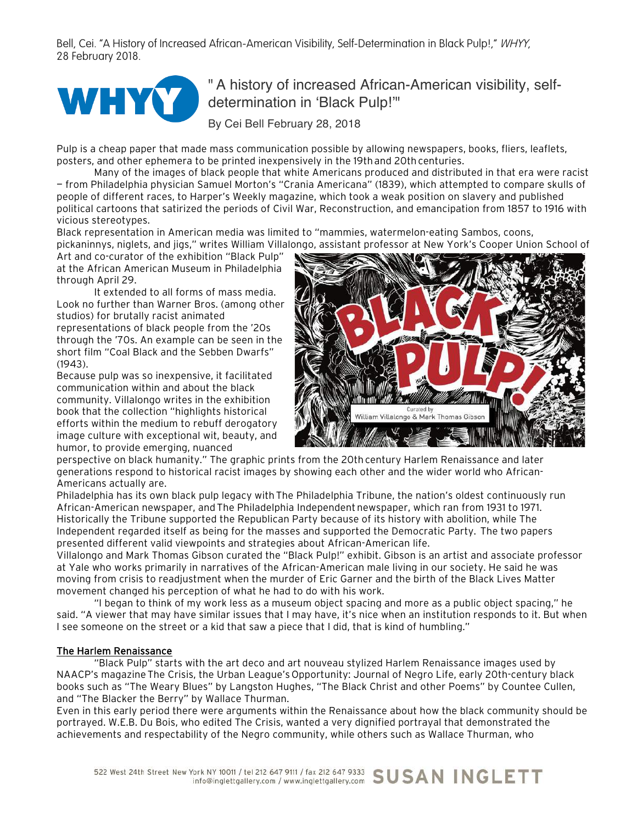Bell, Cei. "A History of Increased African-American Visibility, Self-Determination in Black Pulp!," WHYY, 28 February 2018.



## " A history of increased African-American visibility, selfdetermination in 'Black Pulp!'"

By Cei Bell February 28, 2018

Pulp is a cheap paper that made mass communication possible by allowing newspapers, books, fliers, leaflets, posters, and other ephemera to be printed inexpensively in the 19th and 20th centuries.

Many of the images of black people that white Americans produced and distributed in that era were racist — from Philadelphia physician Samuel Morton's "Crania Americana" (1839), which attempted to compare skulls of people of different races, to Harper's Weekly magazine, which took a weak position on slavery and published political cartoons that satirized the periods of Civil War, Reconstruction, and emancipation from 1857 to 1916 with vicious stereotypes.

Black representation in American media was limited to "mammies, watermelon-eating Sambos, coons, pickaninnys, niglets, and jigs," writes William Villalongo, assistant professor at New York's Cooper Union School of

Art and co-curator of the exhibition "Black Pulp" at the African American Museum in Philadelphia through April 29.

It extended to all forms of mass media. Look no further than Warner Bros. (among other studios) for brutally racist animated representations of black people from the '20s through the '70s. An example can be seen in the short film "Coal Black and the Sebben Dwarfs" (1943).

Because pulp was so inexpensive, it facilitated communication within and about the black community. Villalongo writes in the exhibition book that the collection "highlights historical efforts within the medium to rebuff derogatory image culture with exceptional wit, beauty, and humor, to provide emerging, nuanced



perspective on black humanity." The graphic prints from the 20th century Harlem Renaissance and later generations respond to historical racist images by showing each other and the wider world who African-Americans actually are.

Philadelphia has its own black pulp legacy withThe Philadelphia Tribune, the nation's oldest continuously run African-American newspaper, andThe Philadelphia Independentnewspaper, which ran from 1931 to 1971. Historically the Tribune supported the Republican Party because of its history with abolition, while The Independent regarded itself as being for the masses and supported the Democratic Party. The two papers presented different valid viewpoints and strategies about African-American life.

Villalongo and Mark Thomas Gibson curated the "Black Pulp!" exhibit. Gibson is an artist and associate professor at Yale who works primarily in narratives of the African-American male living in our society. He said he was moving from crisis to readjustment when the murder of Eric Garner and the birth of the Black Lives Matter movement changed his perception of what he had to do with his work.

"I began to think of my work less as a museum object spacing and more as a public object spacing," he said. "A viewer that may have similar issues that I may have, it's nice when an institution responds to it. But when I see someone on the street or a kid that saw a piece that I did, that is kind of humbling."

## The Harlem Renaissance

"Black Pulp" starts with the art deco and art nouveau stylized Harlem Renaissance images used by NAACP's magazineThe Crisis, the Urban League'sOpportunity: Journal of Negro Life, early 20th-century black books such as "The Weary Blues" by Langston Hughes, "The Black Christ and other Poems" by Countee Cullen, and "The Blacker the Berry" by Wallace Thurman.

Even in this early period there were arguments within the Renaissance about how the black community should be portrayed. W.E.B. Du Bois, who edited The Crisis, wanted a very dignified portrayal that demonstrated the achievements and respectability of the Negro community, while others such as Wallace Thurman, who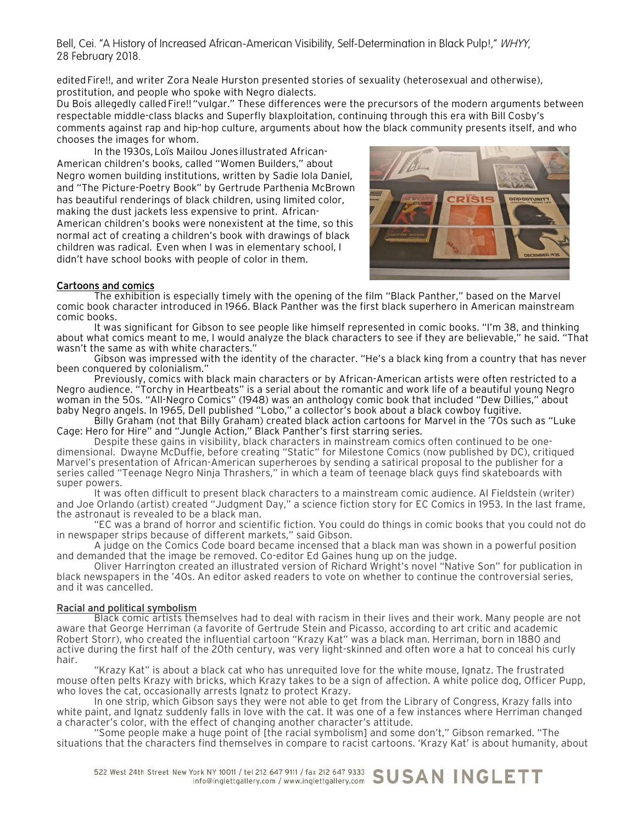Bell, Cei. "A History of Increased African-American Visibility, Self-Determination in Black Pulp!," WHYY, 28 February 2018.

edited Fire!!, and writer Zora Neale Hurston presented stories of sexuality (heterosexual and otherwise), prostitution, and people who spoke with Negro dialects.

Du Bois allegedly called Fire!! "vulgar." These differences were the precursors of the modern arguments between respectable middle-class blacks and Superfly blaxploitation, continuing through this era with Bill Cosby's comments against rap and hip-hop culture, arguments about how the black community presents itself, and who chooses the images for whom.

In the 1930s,Loïs Mailou Jones illustrated African-American children's books, called "Women Builders," about Negro women building institutions, written by Sadie Iola Daniel, and "The Picture-Poetry Book" by Gertrude Parthenia McBrown has beautiful renderings of black children, using limited color, making the dust jackets less expensive to print. African-American children's books were nonexistent at the time, so this normal act of creating a children's book with drawings of black children was radical. Even when I was in elementary school, I didn't have school books with people of color in them.



## Cartoons and comics

The exhibition is especially timely with the opening of the film "Black Panther," based on the Marvel comic book character introduced in 1966. Black Panther was the first black superhero in American mainstream comic books.

It was significant for Gibson to see people like himself represented in comic books. "I'm 38, and thinking about what comics meant to me, I would analyze the black characters to see if they are believable," he said. "That wasn't the same as with white characters."

Gibson was impressed with the identity of the character. "He's a black king from a country that has never been conquered by colonialism."

Previously, comics with black main characters or by African-American artists were often restricted to a Negro audience. "Torchy in Heartbeats" is a serial about the romantic and work life of a beautiful young Negro woman in the 50s. "All-Negro Comics" (1948) was an anthology comic book that included "Dew Dillies," about baby Negro angels. In 1965, Dell published "Lobo," a collector's book about a black cowboy fugitive.

Billy Graham (not that Billy Graham) created black action cartoons for Marvel in the '70s such as "Luke Cage: Hero for Hire" and "Jungle Action," Black Panther's first starring series.

dimensional. Dwayne McDuffie, before creating "Static" for Milestone Comics (now published by DC), critiqued Marvel's presentation of African-American superheroes by sending a satirical proposal to the publisher for a series called "Teenage Negro Ninja Thrashers," in which a team of teenage black guys find skateboards with super powers.

It was often difficult to present black characters to a mainstream comic audience. Al Fieldstein (writer) and Joe Orlando (artist) created "Judgment Day," a science fiction story for EC Comics in 1953. In the last frame, the astronaut is revealed to be a black man.

"EC was a brand of horror and scientific fiction. You could do things in comic books that you could not do in newspaper strips because of different markets," said Gibson.

A judge on the Comics Code board became incensed that a black man was shown in a powerful position and demanded that the image be removed. Co-editor Ed Gaines hung up on the judge.

Oliver Harrington created an illustrated version of Richard Wright's novel "Native Son" for publication in black newspapers in the '40s. An editor asked readers to vote on whether to continue the controversial series, and it was cancelled.

## Racial and political symbolism

Black comic artists themselves had to deal with racism in their lives and their work. Many people are not aware that George Herriman (a favorite of Gertrude Stein and Picasso, according to art critic and academic Robert Storr), who created the influential cartoon "Krazy Kat" was a black man. Herriman, born in 1880 and active during the first half of the 20th century, was very light-skinned and often wore a hat to conceal his curly hair.

"Krazy Kat" is about a black cat who has unrequited love for the white mouse, Ignatz. The frustrated mouse often pelts Krazy with bricks, which Krazy takes to be a sign of affection. A white police dog, Officer Pupp, who loves the cat, occasionally arrests Ignatz to protect Krazy.

In one strip, which Gibson says they were not able to get from the Library of Congress, Krazy falls into white paint, and Ignatz suddenly falls in love with the cat. It was one of a few instances where Herriman changed a character's color, with the effect of changing another character's attitude.

"Some people make a huge point of [the racial symbolism] and some don't," Gibson remarked. "The situations that the characters find themselves in compare to racist cartoons. 'Krazy Kat' is about humanity, about